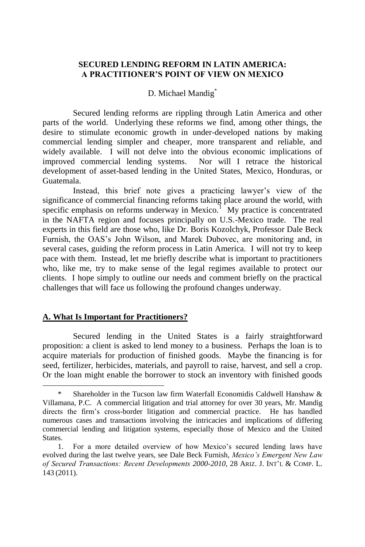# **SECURED LENDING REFORM IN LATIN AMERICA: A PRACTITIONER'S POINT OF VIEW ON MEXICO**

# D. Michael Mandig<sup>\*</sup>

Secured lending reforms are rippling through Latin America and other parts of the world. Underlying these reforms we find, among other things, the desire to stimulate economic growth in under-developed nations by making commercial lending simpler and cheaper, more transparent and reliable, and widely available. I will not delve into the obvious economic implications of improved commercial lending systems. Nor will I retrace the historical development of asset-based lending in the United States, Mexico, Honduras, or Guatemala.

Instead, this brief note gives a practicing lawyer's view of the significance of commercial financing reforms taking place around the world, with specific emphasis on reforms underway in Mexico.<sup>1</sup> My practice is concentrated in the NAFTA region and focuses principally on U.S.-Mexico trade. The real experts in this field are those who, like Dr. Boris Kozolchyk, Professor Dale Beck Furnish, the OAS's John Wilson, and Marek Dubovec, are monitoring and, in several cases, guiding the reform process in Latin America. I will not try to keep pace with them. Instead, let me briefly describe what is important to practitioners who, like me, try to make sense of the legal regimes available to protect our clients. I hope simply to outline our needs and comment briefly on the practical challenges that will face us following the profound changes underway.

### **A. What Is Important for Practitioners?**

l

Secured lending in the United States is a fairly straightforward proposition: a client is asked to lend money to a business. Perhaps the loan is to acquire materials for production of finished goods. Maybe the financing is for seed, fertilizer, herbicides, materials, and payroll to raise, harvest, and sell a crop. Or the loan might enable the borrower to stock an inventory with finished goods

Shareholder in the Tucson law firm Waterfall Economidis Caldwell Hanshaw  $\&$ Villamana, P.C. A commercial litigation and trial attorney for over 30 years, Mr. Mandig directs the firm's cross-border litigation and commercial practice. He has handled numerous cases and transactions involving the intricacies and implications of differing commercial lending and litigation systems, especially those of Mexico and the United States.

<sup>1.</sup> For a more detailed overview of how Mexico's secured lending laws have evolved during the last twelve years, see Dale Beck Furnish, *Mexico's Emergent New Law of Secured Transactions: Recent Developments 2000-2010*, 28 ARIZ. J. INT'L & COMP. L. 143 (2011).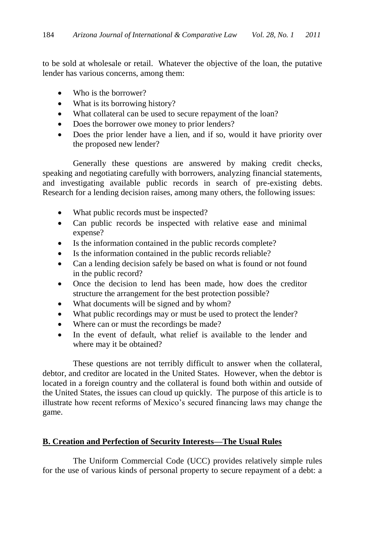to be sold at wholesale or retail. Whatever the objective of the loan, the putative lender has various concerns, among them:

- Who is the borrower?
- What is its borrowing history?
- What collateral can be used to secure repayment of the loan?
- Does the borrower owe money to prior lenders?
- Does the prior lender have a lien, and if so, would it have priority over the proposed new lender?

Generally these questions are answered by making credit checks, speaking and negotiating carefully with borrowers, analyzing financial statements, and investigating available public records in search of pre-existing debts. Research for a lending decision raises, among many others, the following issues:

- What public records must be inspected?
- Can public records be inspected with relative ease and minimal expense?
- Is the information contained in the public records complete?
- Is the information contained in the public records reliable?
- Can a lending decision safely be based on what is found or not found in the public record?
- Once the decision to lend has been made, how does the creditor structure the arrangement for the best protection possible?
- What documents will be signed and by whom?
- What public recordings may or must be used to protect the lender?
- Where can or must the recordings be made?
- In the event of default, what relief is available to the lender and where may it be obtained?

These questions are not terribly difficult to answer when the collateral, debtor, and creditor are located in the United States. However, when the debtor is located in a foreign country and the collateral is found both within and outside of the United States, the issues can cloud up quickly. The purpose of this article is to illustrate how recent reforms of Mexico's secured financing laws may change the game.

# **B. Creation and Perfection of Security Interests—The Usual Rules**

The Uniform Commercial Code (UCC) provides relatively simple rules for the use of various kinds of personal property to secure repayment of a debt: a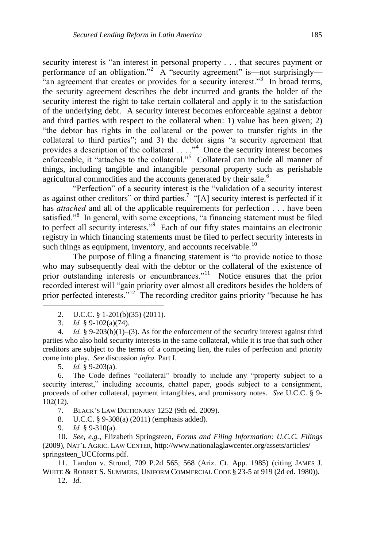security interest is "an interest in personal property . . . that secures payment or performance of an obligation.<sup>2</sup> A "security agreement" is—not surprisingly— "an agreement that creates or provides for a security interest."<sup>3</sup> In broad terms, the security agreement describes the debt incurred and grants the holder of the security interest the right to take certain collateral and apply it to the satisfaction of the underlying debt. A security interest becomes enforceable against a debtor and third parties with respect to the collateral when: 1) value has been given; 2) ―the debtor has rights in the collateral or the power to transfer rights in the collateral to third parties"; and 3) the debtor signs "a security agreement that provides a description of the collateral  $\dots$ ."<sup>4</sup> Once the security interest becomes enforceable, it "attaches to the collateral."<sup>5</sup> Collateral can include all manner of things, including tangible and intangible personal property such as perishable agricultural commodities and the accounts generated by their sale.<sup>6</sup>

"Perfection" of a security interest is the "validation of a security interest" as against other creditors" or third parties.<sup>7</sup> "[A] security interest is perfected if it has *attached* and all of the applicable requirements for perfection . . . have been satisfied."<sup>8</sup> In general, with some exceptions, "a financing statement must be filed to perfect all security interests."<sup>9</sup> Each of our fifty states maintains an electronic registry in which financing statements must be filed to perfect security interests in such things as equipment, inventory, and accounts receivable.<sup>10</sup>

The purpose of filing a financing statement is "to provide notice to those who may subsequently deal with the debtor or the collateral of the existence of prior outstanding interests or encumbrances."<sup>11</sup> Notice ensures that the prior recorded interest will "gain priority over almost all creditors besides the holders of prior perfected interests."<sup>12</sup> The recording creditor gains priority "because he has

- 2. U.C.C. § 1-201(b)(35) (2011).
- 3. *Id.* § 9-102(a)(74).

l

4. *Id.* § 9-203(b)(1)–(3). As for the enforcement of the security interest against third parties who also hold security interests in the same collateral, while it is true that such other creditors are subject to the terms of a competing lien, the rules of perfection and priority come into play. *See* discussion *infra.* Part I.

5. *Id.* § 9-203(a).

6. The Code defines "collateral" broadly to include any "property subject to a security interest," including accounts, chattel paper, goods subject to a consignment, proceeds of other collateral, payment intangibles, and promissory notes. *See* U.C.C. § 9- 102(12).

- 7. BLACK'S LAW DICTIONARY 1252 (9th ed. 2009).
- 8. U.C.C. § 9-308(a) (2011) (emphasis added).
- 9. *Id.* § 9-310(a).

10. *See, e.g.*, Elizabeth Springsteen, *Forms and Filing Information: U.C.C. Filings* (2009), NAT'L AGRIC. LAW CENTER, http://www.nationalaglawcenter.org/assets/articles/ springsteen\_UCCforms.pdf.

11. Landon v. Stroud, 709 P.2d 565, 568 (Ariz. Ct. App. 1985) (citing JAMES J. WHITE & ROBERT S. SUMMERS, UNIFORM COMMERCIAL CODE § 23-5 at 919 (2d ed. 1980)).

12. *Id.*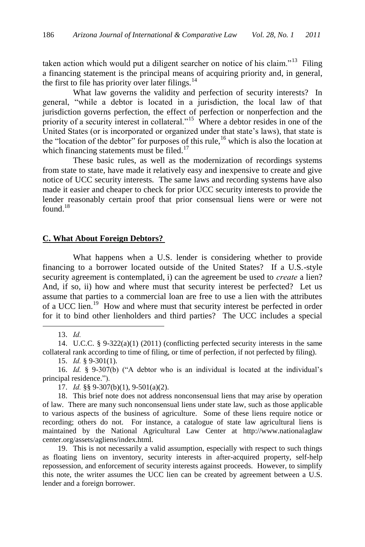taken action which would put a diligent searcher on notice of his claim."<sup>13</sup> Filing a financing statement is the principal means of acquiring priority and, in general, the first to file has priority over later filings. $^{14}$ 

What law governs the validity and perfection of security interests? In general, "while a debtor is located in a jurisdiction, the local law of that jurisdiction governs perfection, the effect of perfection or nonperfection and the priority of a security interest in collateral."<sup>15</sup> Where a debtor resides in one of the United States (or is incorporated or organized under that state's laws), that state is the "location of the debtor" for purposes of this rule,<sup>16</sup> which is also the location at which financing statements must be filed.<sup>17</sup>

These basic rules, as well as the modernization of recordings systems from state to state, have made it relatively easy and inexpensive to create and give notice of UCC security interests. The same laws and recording systems have also made it easier and cheaper to check for prior UCC security interests to provide the lender reasonably certain proof that prior consensual liens were or were not found $18$ 

#### **C. What About Foreign Debtors?**

What happens when a U.S. lender is considering whether to provide financing to a borrower located outside of the United States? If a U.S.-style security agreement is contemplated, i) can the agreement be used to *create* a lien? And, if so, ii) how and where must that security interest be perfected? Let us assume that parties to a commercial loan are free to use a lien with the attributes of a UCC lien.<sup>19</sup> How and where must that security interest be perfected in order for it to bind other lienholders and third parties? The UCC includes a special

13. *Id.*

<sup>14.</sup> U.C.C. § 9-322(a)(1) (2011) (conflicting perfected security interests in the same collateral rank according to time of filing, or time of perfection, if not perfected by filing).

<sup>15.</sup> *Id.* § 9-301(1).

<sup>16.</sup> *Id.* § 9-307(b) ("A debtor who is an individual is located at the individual's principal residence.").

<sup>17.</sup> *Id.* §§ 9-307(b)(1), 9-501(a)(2).

<sup>18.</sup> This brief note does not address nonconsensual liens that may arise by operation of law. There are many such nonconsensual liens under state law, such as those applicable to various aspects of the business of agriculture. Some of these liens require notice or recording; others do not. For instance, a catalogue of state law agricultural liens is maintained by the National Agricultural Law Center at http://www.nationalaglaw center.org/assets/agliens/index.html.

<sup>19.</sup> This is not necessarily a valid assumption, especially with respect to such things as floating liens on inventory, security interests in after-acquired property, self-help repossession, and enforcement of security interests against proceeds. However, to simplify this note, the writer assumes the UCC lien can be created by agreement between a U.S. lender and a foreign borrower.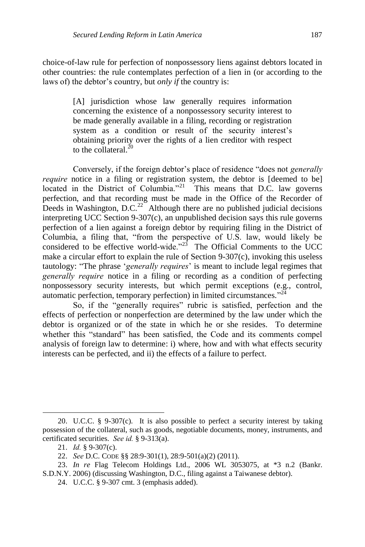choice-of-law rule for perfection of nonpossessory liens against debtors located in other countries: the rule contemplates perfection of a lien in (or according to the laws of) the debtor's country, but *only if* the country is:

> [A] jurisdiction whose law generally requires information concerning the existence of a nonpossessory security interest to be made generally available in a filing, recording or registration system as a condition or result of the security interest's obtaining priority over the rights of a lien creditor with respect to the collateral. $^{20}$

Conversely, if the foreign debtor's place of residence "does not *generally require* notice in a filing or registration system, the debtor is [deemed to be] located in the District of Columbia."<sup>21</sup> This means that D.C. law governs perfection, and that recording must be made in the Office of the Recorder of Deeds in Washington,  $D.C.<sup>22</sup>$  Although there are no published judicial decisions interpreting UCC Section 9-307(c), an unpublished decision says this rule governs perfection of a lien against a foreign debtor by requiring filing in the District of Columbia, a filing that, "from the perspective of U.S. law, would likely be considered to be effective world-wide.<sup> $2^{3}$ </sup> The Official Comments to the UCC make a circular effort to explain the rule of Section 9-307(c), invoking this useless tautology: "The phrase '*generally requires*' is meant to include legal regimes that *generally require* notice in a filing or recording as a condition of perfecting nonpossessory security interests, but which permit exceptions (e.g., control, automatic perfection, temporary perfection) in limited circumstances."<sup>24</sup>

So, if the "generally requires" rubric is satisfied, perfection and the effects of perfection or nonperfection are determined by the law under which the debtor is organized or of the state in which he or she resides. To determine whether this "standard" has been satisfied, the Code and its comments compel analysis of foreign law to determine: i) where, how and with what effects security interests can be perfected, and ii) the effects of a failure to perfect.

<sup>20.</sup> U.C.C. § 9-307(c). It is also possible to perfect a security interest by taking possession of the collateral, such as goods, negotiable documents, money, instruments, and certificated securities. *See id.* § 9-313(a).

<sup>21.</sup> *Id.* § 9-307(c).

<sup>22.</sup> *See* D.C. CODE §§ 28:9-301(1), 28:9-501(a)(2) (2011).

<sup>23.</sup> *In re* Flag Telecom Holdings Ltd., 2006 WL 3053075, at \*3 n.2 (Bankr. S.D.N.Y. 2006) (discussing Washington, D.C., filing against a Taiwanese debtor).

<sup>24.</sup> U.C.C. § 9-307 cmt. 3 (emphasis added).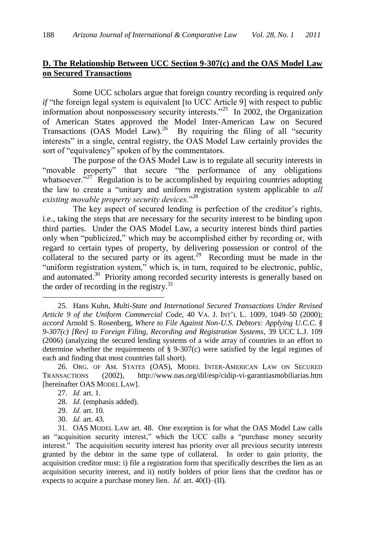# **D. The Relationship Between UCC Section 9-307(c) and the OAS Model Law on Secured Transactions**

Some UCC scholars argue that foreign country recording is required *only if* "the foreign legal system is equivalent [to UCC Article 9] with respect to public information about nonpossessory security interests.<sup>25</sup> In 2002, the Organization of American States approved the Model Inter-American Law on Secured Transactions (OAS Model Law).<sup>26</sup> By requiring the filing of all "security interests" in a single, central registry, the OAS Model Law certainly provides the sort of "equivalency" spoken of by the commentators.

The purpose of the OAS Model Law is to regulate all security interests in "movable property" that secure "the performance of any obligations whatsoever. $^{227}$  Regulation is to be accomplished by requiring countries adopting the law to create a "unitary and uniform registration system applicable to *all* existing movable property security devices."<sup>28</sup>

The key aspect of secured lending is perfection of the creditor's rights, i.e., taking the steps that are necessary for the security interest to be binding upon third parties. Under the OAS Model Law, a security interest binds third parties only when "publicized," which may be accomplished either by recording or, with regard to certain types of property, by delivering possession or control of the collateral to the secured party or its agent.<sup>29</sup> Recording must be made in the "uniform registration system," which is, in turn, required to be electronic, public, and automated.<sup>30</sup> Priority among recorded security interests is generally based on the order of recording in the registry.<sup>31</sup>

26. ORG. OF AM. STATES (OAS), MODEL INTER-AMERICAN LAW ON SECURED TRANSACTIONS (2002), [http://www.oas.org/dil/esp/cidip-vi-garantiasmobiliarias.h](http://www.oas.org/dil/esp/cidip-vi-garantiasmobiliarias)tm [hereinafter OAS MODEL LAW].

- 28. *Id*. (emphasis added).
- 29. *Id.* art. 10.
- 30. *Id.* art. 43.

<sup>25.</sup> Hans Kuhn, *Multi-State and International Secured Transactions Under Revised Article 9 of the Uniform Commercial Code*, 40 VA. J. INT'L L. 1009, 1049–50 (2000); *accord* Arnold S. Rosenberg, *Where to File Against Non-U.S. Debtors: Applying U.C.C. § 9-307(c) [Rev] to Foreign Filing, Recording and Registration Systems*, 39 UCC L.J. 109 (2006) (analyzing the secured lending systems of a wide array of countries in an effort to determine whether the requirements of  $\S$  9-307(c) were satisfied by the legal regimes of each and finding that most countries fall short).

<sup>27.</sup> *Id.* art. 1.

<sup>31.</sup> OAS MODEL LAW art. 48. One exception is for what the OAS Model Law calls an "acquisition security interest," which the UCC calls a "purchase money security interest." The acquisition security interest has priority over all previous security interests granted by the debtor in the same type of collateral. In order to gain priority, the acquisition creditor must: i) file a registration form that specifically describes the lien as an acquisition security interest, and ii) notify holders of prior liens that the creditor has or expects to acquire a purchase money lien. *Id.* art. 40(I)–(II).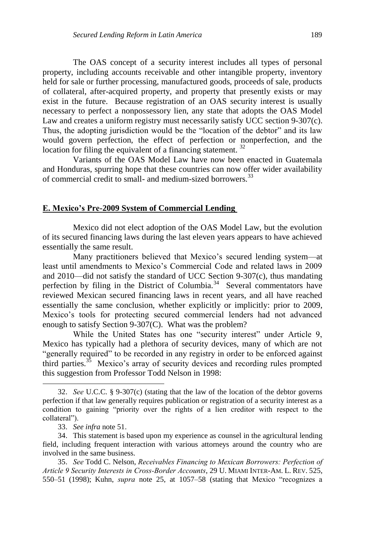The OAS concept of a security interest includes all types of personal property, including accounts receivable and other intangible property, inventory held for sale or further processing, manufactured goods, proceeds of sale, products of collateral, after-acquired property, and property that presently exists or may exist in the future. Because registration of an OAS security interest is usually necessary to perfect a nonpossessory lien, any state that adopts the OAS Model Law and creates a uniform registry must necessarily satisfy UCC section 9-307(c). Thus, the adopting jurisdiction would be the "location of the debtor" and its law would govern perfection, the effect of perfection or nonperfection, and the location for filing the equivalent of a financing statement.<sup>32</sup>

Variants of the OAS Model Law have now been enacted in Guatemala and Honduras, spurring hope that these countries can now offer wider availability of commercial credit to small- and medium-sized borrowers.<sup>33</sup>

#### **E. Mexico's Pre-2009 System of Commercial Lending**

Mexico did not elect adoption of the OAS Model Law, but the evolution of its secured financing laws during the last eleven years appears to have achieved essentially the same result.

Many practitioners believed that Mexico's secured lending system—at least until amendments to Mexico's Commercial Code and related laws in 2009 and 2010—did not satisfy the standard of UCC Section 9-307(c), thus mandating perfection by filing in the District of Columbia.<sup>34</sup> Several commentators have reviewed Mexican secured financing laws in recent years, and all have reached essentially the same conclusion, whether explicitly or implicitly: prior to 2009, Mexico's tools for protecting secured commercial lenders had not advanced enough to satisfy Section 9-307(C). What was the problem?

While the United States has one "security interest" under Article 9, Mexico has typically had a plethora of security devices, many of which are not "generally required" to be recorded in any registry in order to be enforced against third parties.<sup>35</sup> Mexico's array of security devices and recording rules prompted this suggestion from Professor Todd Nelson in 1998:

<sup>32.</sup> *See* U.C.C. § 9-307(c) (stating that the law of the location of the debtor governs perfection if that law generally requires publication or registration of a security interest as a condition to gaining "priority over the rights of a lien creditor with respect to the collateral").

<sup>33.</sup> *See infra* note 51.

<sup>34.</sup> This statement is based upon my experience as counsel in the agricultural lending field, including frequent interaction with various attorneys around the country who are involved in the same business.

<sup>35.</sup> *See* Todd C. Nelson, *Receivables Financing to Mexican Borrowers: Perfection of Article 9 Security Interests in Cross-Border Accounts*, 29 U. MIAMI INTER-AM. L. REV. 525, 550–51 (1998); Kuhn, *supra* note 25, at 1057–58 (stating that Mexico "recognizes a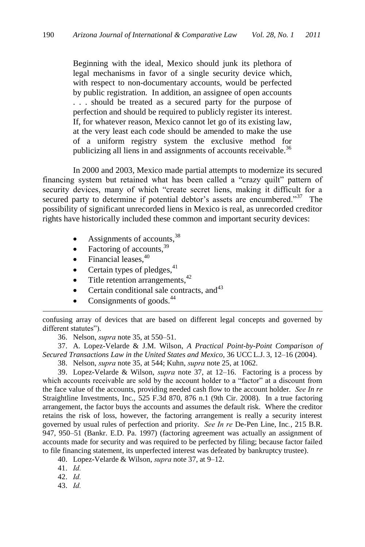Beginning with the ideal, Mexico should junk its plethora of legal mechanisms in favor of a single security device which, with respect to non-documentary accounts, would be perfected by public registration. In addition, an assignee of open accounts . . . should be treated as a secured party for the purpose of perfection and should be required to publicly register its interest. If, for whatever reason, Mexico cannot let go of its existing law, at the very least each code should be amended to make the use of a uniform registry system the exclusive method for publicizing all liens in and assignments of accounts receivable.<sup>36</sup>

In 2000 and 2003, Mexico made partial attempts to modernize its secured financing system but retained what has been called a "crazy quilt" pattern of security devices, many of which "create secret liens, making it difficult for a secured party to determine if potential debtor's assets are encumbered."<sup>37</sup> The possibility of significant unrecorded liens in Mexico is real, as unrecorded creditor rights have historically included these common and important security devices:

- $\bullet$  Assignments of accounts,  $38$
- Factoring of accounts,  $39$
- $\bullet$  Financial leases,  $40$
- Certain types of pledges, $41$
- $\bullet$  Title retention arrangements,  $42$
- Certain conditional sale contracts, and  $43$
- Consignments of goods.<sup>44</sup>

confusing array of devices that are based on different legal concepts and governed by different statutes").

36. Nelson, *supra* note 35, at 550–51.

37. A. Lopez-Velarde & J.M. Wilson, *A Practical Point-by-Point Comparison of Secured Transactions Law in the United States and Mexico*, 36 UCC L.J. 3, 12–16 (2004).

38. Nelson, *supra* note 35, at 544; Kuhn, *supra* note 25, at 1062.

39. Lopez-Velarde & Wilson, *supra* note 37, at 12–16. Factoring is a process by which accounts receivable are sold by the account holder to a "factor" at a discount from the face value of the accounts, providing needed cash flow to the account holder. *See In re*  Straightline Investments, Inc., 525 F.3d 870, 876 n.1 (9th Cir. 2008). In a true factoring arrangement, the factor buys the accounts and assumes the default risk. Where the creditor retains the risk of loss, however, the factoring arrangement is really a security interest governed by usual rules of perfection and priority. *See In re* De-Pen Line, Inc*.*, 215 B.R. 947, 950–51 (Bankr. E.D. Pa. 1997) (factoring agreement was actually an assignment of accounts made for security and was required to be perfected by filing; because factor failed to file financing statement, its unperfected interest was defeated by bankruptcy trustee).

40. Lopez-Velarde & Wilson, *supra* note 37, at 9–12.

41. *Id.*

l

42. *Id.*

43. *Id.*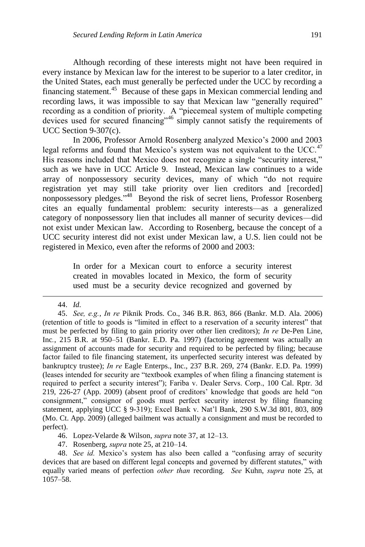Although recording of these interests might not have been required in every instance by Mexican law for the interest to be superior to a later creditor, in the United States, each must generally be perfected under the UCC by recording a financing statement.<sup>45</sup> Because of these gaps in Mexican commercial lending and recording laws, it was impossible to say that Mexican law "generally required" recording as a condition of priority. A "piecemeal system of multiple competing devices used for secured financing"<sup>46</sup> simply cannot satisfy the requirements of UCC Section 9-307(c).

In 2006, Professor Arnold Rosenberg analyzed Mexico's 2000 and 2003 legal reforms and found that Mexico's system was not equivalent to the UCC.<sup>47</sup> His reasons included that Mexico does not recognize a single "security interest," such as we have in UCC Article 9. Instead, Mexican law continues to a wide array of nonpossessory security devices, many of which "do not require registration yet may still take priority over lien creditors and [recorded] nonpossessory pledges."<sup>48</sup> Beyond the risk of secret liens, Professor Rosenberg cites an equally fundamental problem: security interests—as a generalized category of nonpossessory lien that includes all manner of security devices—did not exist under Mexican law. According to Rosenberg, because the concept of a UCC security interest did not exist under Mexican law, a U.S. lien could not be registered in Mexico, even after the reforms of 2000 and 2003:

> In order for a Mexican court to enforce a security interest created in movables located in Mexico, the form of security used must be a security device recognized and governed by

44. *Id.*

l

45. *See, e.g.*, *In re* Piknik Prods. Co., 346 B.R. 863, 866 (Bankr. M.D. Ala. 2006) (retention of title to goods is "limited in effect to a reservation of a security interest" that must be perfected by filing to gain priority over other lien creditors); *In re* De-Pen Line, Inc*.*, 215 B.R. at 950–51 (Bankr. E.D. Pa. 1997) (factoring agreement was actually an assignment of accounts made for security and required to be perfected by filing; because factor failed to file financing statement, its unperfected security interest was defeated by bankruptcy trustee); *In re* Eagle Enterps., Inc., 237 B.R. 269, 274 (Bankr. E.D. Pa. 1999) (leases intended for security are "textbook examples of when filing a financing statement is required to perfect a security interest"); Fariba v. Dealer Servs. Corp., 100 Cal. Rptr. 3d  $219, 226-27$  (App.  $2009$ ) (absent proof of creditors' knowledge that goods are held "on consignment," consignor of goods must perfect security interest by filing financing statement, applying UCC § 9-319); Excel Bank v. Nat'l Bank, 290 S.W.3d 801, 803, 809 (Mo. Ct. App. 2009) (alleged bailment was actually a consignment and must be recorded to perfect).

46. Lopez-Velarde & Wilson, *supra* note 37, at 12–13.

47. Rosenberg, *supra* note 25, at 210–14.

48. *See id.* Mexico's system has also been called a "confusing array of security devices that are based on different legal concepts and governed by different statutes," with equally varied means of perfection *other than* recording. *See* Kuhn, *supra* note 25, at 1057–58.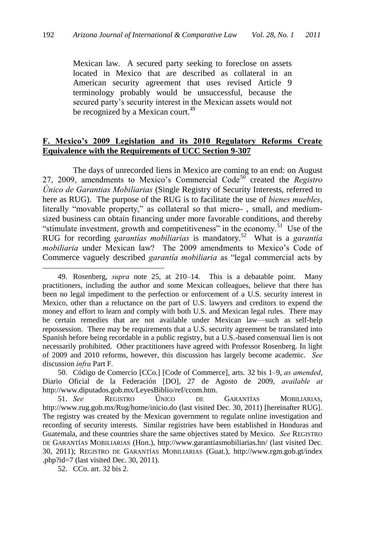Mexican law. A secured party seeking to foreclose on assets located in Mexico that are described as collateral in an American security agreement that uses revised Article 9 terminology probably would be unsuccessful, because the secured party's security interest in the Mexican assets would not be recognized by a Mexican court.<sup>49</sup>

# **F. Mexico's 2009 Legislation and its 2010 Regulatory Reforms Create Equivalence with the Requirements of UCC Section 9-307**

The days of unrecorded liens in Mexico are coming to an end: on August 27, 2009, amendments to Mexico's Commercial Code<sup>50</sup> created the *Registro Único de Garantias Mobiliarias* (Single Registry of Security Interests, referred to here as RUG). The purpose of the RUG is to facilitate the use of *bienes muebles*, literally "movable property," as collateral so that micro-, small, and mediumsized business can obtain financing under more favorable conditions, and thereby "stimulate investment, growth and competitiveness" in the economy.<sup>51</sup> Use of the RUG for recording *garantías mobiliarias* is mandatory.<sup>52</sup> What is a *garantía mobiliaria* under Mexican law? The 2009 amendments to Mexico's Code of Commerce vaguely described *garantía mobiliaria* as "legal commercial acts by

50. Código de Comercio [CCo.] [Code of Commerce], arts. 32 bis 1–9, *as amended*, Diario Oficial de la Federación [DO], 27 de Agosto de 2009, *available at* http://www.diputados.gob.mx/LeyesBiblio/ref/ccom.htm.

51. *See* REGISTRO ÚNICO DE GARANTÍAS MOBILIARIAS, http://www.rug.gob.mx/Rug/home/inicio.do (last visited Dec. 30, 2011) [hereinafter RUG]. The registry was created by the Mexican government to regulate online investigation and recording of security interests. Similar registries have been established in Honduras and Guatemala, and these countries share the same objectives stated by Mexico. *See* REGISTRO DE GARANTÍAS MOBILIARIAS (Hon.), http://www.garantiasmobiliarias.hn/ (last visited Dec. 30, 2011); REGISTRO DE GARANTÍAS MOBILIARIAS (Guat.), http://www.rgm.gob.gt/index .php?id=7 (last visited Dec. 30, 2011).

<sup>49.</sup> Rosenberg, *supra* note 25, at 210–14. This is a debatable point. Many practitioners, including the author and some Mexican colleagues, believe that there has been no legal impediment to the perfection or enforcement of a U.S. security interest in Mexico, other than a reluctance on the part of U.S. lawyers and creditors to expend the money and effort to learn and comply with both U.S. and Mexican legal rules. There may be certain remedies that are not available under Mexican law—such as self-help repossession. There may be requirements that a U.S. security agreement be translated into Spanish before being recordable in a public registry, but a U.S.-based consensual lien is not necessarily prohibited. Other practitioners have agreed with Professor Rosenberg. In light of 2009 and 2010 reforms, however, this discussion has largely become academic. *See*  discussion *infra* Part F*.* 

<sup>52.</sup> CCo. art. 32 bis 2.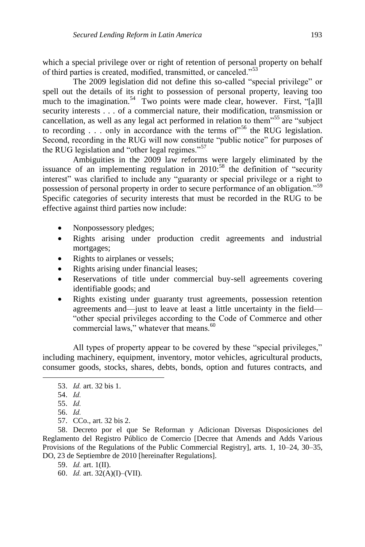which a special privilege over or right of retention of personal property on behalf of third parties is created, modified, transmitted, or canceled."<sup>53</sup>

The 2009 legislation did not define this so-called "special privilege" or spell out the details of its right to possession of personal property, leaving too much to the imagination.<sup>54</sup> Two points were made clear, however. First, "[a]ll security interests . . . of a commercial nature, their modification, transmission or cancellation, as well as any legal act performed in relation to them<sup>555</sup> are "subject to recording  $\ldots$  only in accordance with the terms of<sup>556</sup> the RUG legislation. Second, recording in the RUG will now constitute "public notice" for purposes of the RUG legislation and "other legal regimes." $57$ 

Ambiguities in the 2009 law reforms were largely eliminated by the issuance of an implementing regulation in  $2010$ :<sup>58</sup> the definition of "security" interest" was clarified to include any "guaranty or special privilege or a right to possession of personal property in order to secure performance of an obligation.<sup>59</sup> Specific categories of security interests that must be recorded in the RUG to be effective against third parties now include:

- Nonpossessory pledges;
- Rights arising under production credit agreements and industrial mortgages;
- Rights to airplanes or vessels;
- Rights arising under financial leases;
- Reservations of title under commercial buy-sell agreements covering identifiable goods; and
- Rights existing under guaranty trust agreements, possession retention agreements and—just to leave at least a little uncertainty in the field— "other special privileges according to the Code of Commerce and other commercial laws," whatever that means.<sup>60</sup>

All types of property appear to be covered by these "special privileges," including machinery, equipment, inventory, motor vehicles, agricultural products, consumer goods, stocks, shares, debts, bonds, option and futures contracts, and

l

57. CCo., art. 32 bis 2.

60. *Id.* art. 32(A)(I)–(VII).

<sup>53.</sup> *Id.* art. 32 bis 1.

<sup>54.</sup> *Id.*

<sup>55.</sup> *Id.*

<sup>56.</sup> *Id.*

<sup>58.</sup> Decreto por el que Se Reforman y Adicionan Diversas Disposiciones del Reglamento del Registro Público de Comercio [Decree that Amends and Adds Various Provisions of the Regulations of the Public Commercial Registry], arts. 1, 10–24, 30–35, DO, 23 de Septiembre de 2010 [hereinafter Regulations].

<sup>59.</sup> *Id.* art. 1(II).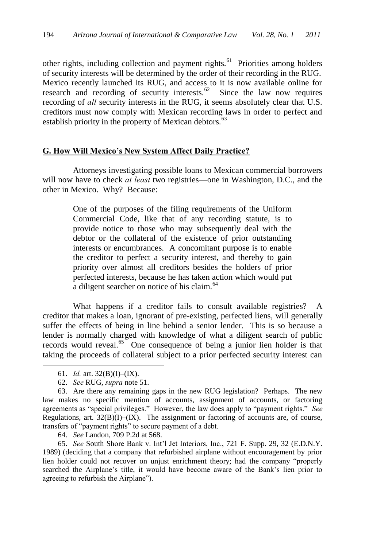other rights, including collection and payment rights.<sup>61</sup> Priorities among holders of security interests will be determined by the order of their recording in the RUG. Mexico recently launched its RUG, and access to it is now available online for research and recording of security interests. $62$  Since the law now requires recording of *all* security interests in the RUG, it seems absolutely clear that U.S. creditors must now comply with Mexican recording laws in order to perfect and establish priority in the property of Mexican debtors.<sup>63</sup>

### **G. How Will Mexico's New System Affect Daily Practice?**

Attorneys investigating possible loans to Mexican commercial borrowers will now have to check *at least* two registries—one in Washington, D.C., and the other in Mexico. Why? Because:

> One of the purposes of the filing requirements of the Uniform Commercial Code, like that of any recording statute, is to provide notice to those who may subsequently deal with the debtor or the collateral of the existence of prior outstanding interests or encumbrances. A concomitant purpose is to enable the creditor to perfect a security interest, and thereby to gain priority over almost all creditors besides the holders of prior perfected interests, because he has taken action which would put a diligent searcher on notice of his claim.<sup>64</sup>

What happens if a creditor fails to consult available registries? A creditor that makes a loan, ignorant of pre-existing, perfected liens, will generally suffer the effects of being in line behind a senior lender. This is so because a lender is normally charged with knowledge of what a diligent search of public records would reveal.<sup>65</sup> One consequence of being a junior lien holder is that taking the proceeds of collateral subject to a prior perfected security interest can

l

64. *See* Landon, 709 P.2d at 568.

65. *See* South Shore Bank v. Int'l Jet Interiors, Inc., 721 F. Supp. 29, 32 (E.D.N.Y. 1989) (deciding that a company that refurbished airplane without encouragement by prior lien holder could not recover on unjust enrichment theory; had the company "properly searched the Airplane's title, it would have become aware of the Bank's lien prior to agreeing to refurbish the Airplane").

<sup>61.</sup> *Id.* art. 32(B)(I)–(IX).

<sup>62.</sup> *See* RUG, *supra* note 51.

<sup>63.</sup> Are there any remaining gaps in the new RUG legislation? Perhaps. The new law makes no specific mention of accounts, assignment of accounts, or factoring agreements as "special privileges." However, the law does apply to "payment rights." See Regulations, art.  $32(B)(I)$ – $(IX)$ . The assignment or factoring of accounts are, of course, transfers of "payment rights" to secure payment of a debt.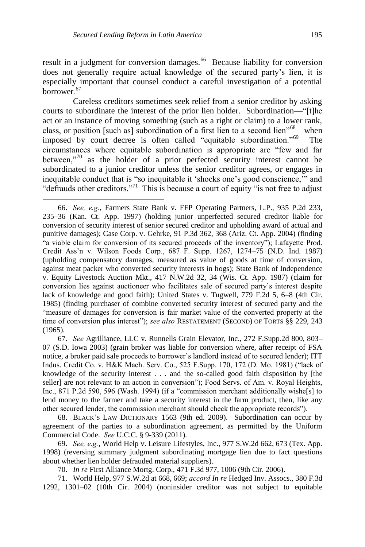l

result in a judgment for conversion damages.<sup>66</sup> Because liability for conversion does not generally require actual knowledge of the secured party's lien, it is especially important that counsel conduct a careful investigation of a potential borrower*.* 67

Careless creditors sometimes seek relief from a senior creditor by asking courts to subordinate the interest of the prior lien holder. Subordination—"[t]he act or an instance of moving something (such as a right or claim) to a lower rank, class, or position [such as] subordination of a first lien to a second lien"<sup>68</sup>—when imposed by court decree is often called "equitable subordination."<sup>69</sup> The circumstances where equitable subordination is appropriate are "few and far between,"70 as the holder of a prior perfected security interest cannot be subordinated to a junior creditor unless the senior creditor agrees, or engages in inequitable conduct that is "so inequitable it 'shocks one's good conscience," and "defrauds other creditors."<sup>71</sup> This is because a court of equity "is not free to adjust"

67. *See* Agrilliance, LLC v. Runnells Grain Elevator, Inc., 272 F.Supp.2d 800, 803– 07 (S.D. Iowa 2003) (grain broker was liable for conversion where, after receipt of FSA notice, a broker paid sale proceeds to borrower's landlord instead of to secured lender); ITT Indus. Credit Co. v. H&K Mach. Serv. Co., 525 F.Supp. 170, 172 (D. Mo. 1981) ("lack of knowledge of the security interest . . . and the so-called good faith disposition by [the seller] are not relevant to an action in conversion"); Food Servs. of Am. v. Royal Heights, Inc., 871 P.2d 590, 596 (Wash. 1994) (if a "commission merchant additionally wishe $[s]$  to lend money to the farmer and take a security interest in the farm product, then, like any other secured lender, the commission merchant should check the appropriate records").

68. BLACK'S LAW DICTIONARY 1563 (9th ed. 2009). Subordination can occur by agreement of the parties to a subordination agreement, as permitted by the Uniform Commercial Code. *See* U.C.C. § 9-339 (2011).

69. *See, e.g.*, World Help v. Leisure Lifestyles, Inc., 977 S.W.2d 662, 673 (Tex. App. 1998) (reversing summary judgment subordinating mortgage lien due to fact questions about whether lien holder defrauded material suppliers).

70. *In re* First Alliance Mortg. Corp., 471 F.3d 977, 1006 (9th Cir. 2006).

71. World Help, 977 S.W.2d at 668, 669; *accord In re* Hedged Inv. Assocs., 380 F.3d 1292, 1301–02 (10th Cir. 2004) (noninsider creditor was not subject to equitable

<sup>66.</sup> *See, e.g.*, Farmers State Bank v. FFP Operating Partners, L.P., 935 P.2d 233, 235–36 (Kan. Ct. App. 1997) (holding junior unperfected secured creditor liable for conversion of security interest of senior secured creditor and upholding award of actual and punitive damages); Case Corp. v. Gehrke, 91 P.3d 362, 368 (Ariz. Ct. App. 2004) (finding ―a viable claim for conversion of its secured proceeds of the inventory‖); Lafayette Prod. Credit Ass'n v. Wilson Foods Corp., 687 F. Supp. 1267, 1274–75 (N.D. Ind. 1987) (upholding compensatory damages, measured as value of goods at time of conversion, against meat packer who converted security interests in hogs); State Bank of Independence v. Equity Livestock Auction Mkt., 417 N.W.2d 32, 34 (Wis. Ct. App. 1987) (claim for conversion lies against auctioneer who facilitates sale of secured party's interest despite lack of knowledge and good faith); United States v. Tugwell, 779 F.2d 5, 6–8 (4th Cir. 1985) (finding purchaser of combine converted security interest of secured party and the ―measure of damages for conversion is fair market value of the converted property at the time of conversion plus interest"); *see also* RESTATEMENT (SECOND) OF TORTS §§ 229, 243 (1965).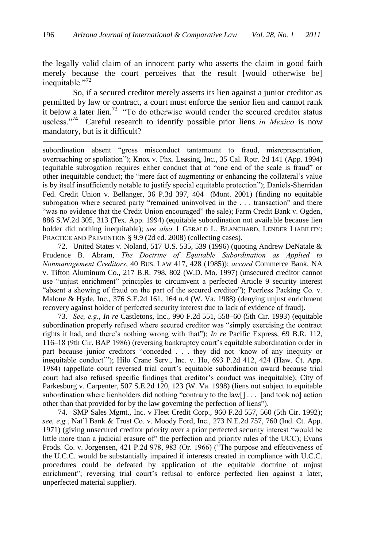the legally valid claim of an innocent party who asserts the claim in good faith merely because the court perceives that the result [would otherwise be] inequitable."<sup>72</sup>

So, if a secured creditor merely asserts its lien against a junior creditor as permitted by law or contract, a court must enforce the senior lien and cannot rank it below a later lien.<sup>73</sup> "To do otherwise would render the secured creditor status useless."<sup>74</sup> Careful research to identify possible prior liens *in Mexico* is now mandatory, but is it difficult?

l

subordination absent "gross misconduct tantamount to fraud, misrepresentation, overreaching or spoliation‖); Knox v. Phx. Leasing, Inc., 35 Cal. Rptr. 2d 141 (App. 1994) (equitable subrogation requires either conduct that at "one end of the scale is fraud" or other inequitable conduct; the "mere fact of augmenting or enhancing the collateral's value is by itself insufficiently notable to justify special equitable protection"); Daniels-Sherridan Fed. Credit Union v. Bellanger, 36 P.3d 397, 404 (Mont. 2001) (finding no equitable subrogation where secured party "remained uninvolved in the . . . transaction" and there ―was no evidence that the Credit Union encouraged‖ the sale); Farm Credit Bank v. Ogden, 886 S.W.2d 305, 313 (Tex. App. 1994) (equitable subordination not available because lien holder did nothing inequitable); *see also* 1 GERALD L. BLANCHARD, LENDER LIABILITY: PRACTICE AND PREVENTION § 9.9 (2d ed. 2008) (collecting cases).

72. United States v. Noland, 517 U.S. 535, 539 (1996) (quoting Andrew DeNatale & Prudence B. Abram, *The Doctrine of Equitable Subordination as Applied to Nonmanagement Creditors*, 40 BUS. LAW 417, 428 (1985)); *accord* Commerce Bank, NA v. Tifton Aluminum Co., 217 B.R. 798, 802 (W.D. Mo. 1997) (unsecured creditor cannot use "unjust enrichment" principles to circumvent a perfected Article 9 security interest "absent a showing of fraud on the part of the secured creditor"); Peerless Packing Co. v. Malone & Hyde, Inc., 376 S.E.2d 161, 164 n.4 (W. Va. 1988) (denying unjust enrichment recovery against holder of perfected security interest due to lack of evidence of fraud).

73. *See, e.g.*, *In re* Castletons, Inc., 990 F.2d 551, 558–60 (5th Cir. 1993) (equitable subordination properly refused where secured creditor was "simply exercising the contract rights it had, and there's nothing wrong with that"); *In re* Pacific Express, 69 B.R. 112, 116–18 (9th Cir. BAP 1986) (reversing bankruptcy court's equitable subordination order in part because junior creditors "conceded . . . they did not 'know of any inequity or inequitable conduct"'); Hilo Crane Serv., Inc. v. Ho, 693 P.2d 412, 424 (Haw. Ct. App. 1984) (appellate court reversed trial court's equitable subordination award because trial court had also refused specific findings that creditor's conduct was inequitable); City of Parkesburg v. Carpenter, 507 S.E.2d 120, 123 (W. Va. 1998) (liens not subject to equitable subordination where lienholders did nothing "contrary to the law[]  $\ldots$  [and took no] action other than that provided for by the law governing the perfection of liens").

74. SMP Sales Mgmt., Inc. v Fleet Credit Corp., 960 F.2d 557, 560 (5th Cir. 1992); *see, e.g.*, Nat'l Bank & Trust Co. v. Moody Ford, Inc., 273 N.E.2d 757, 760 (Ind. Ct. App. 1971) (giving unsecured creditor priority over a prior perfected security interest "would be little more than a judicial erasure of $\degree$  the perfection and priority rules of the UCC); Evans Prods. Co. v. Jorgensen, 421 P.2d 978, 983 (Or. 1966) ("The purpose and effectiveness of the U.C.C. would be substantially impaired if interests created in compliance with U.C.C. procedures could be defeated by application of the equitable doctrine of unjust enrichment"; reversing trial court's refusal to enforce perfected lien against a later, unperfected material supplier).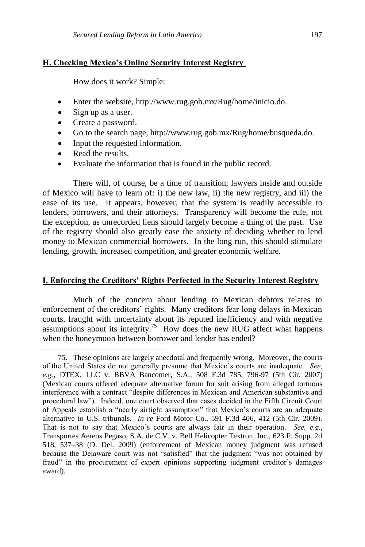### **H. Checking Mexico's Online Security Interest Registry**

How does it work? Simple:

- Enter the website, http://www.rug.gob.mx/Rug/home/inicio.do.
- Sign up as a user.
- Create a password.
- Go to the search page, http://www.rug.gob.mx/Rug/home/busqueda.do.
- Input the requested information.
- Read the results.

l

Evaluate the information that is found in the public record.

There will, of course, be a time of transition; lawyers inside and outside of Mexico will have to learn of: i) the new law, ii) the new registry, and iii) the ease of its use. It appears, however, that the system is readily accessible to lenders, borrowers, and their attorneys. Transparency will become the rule, not the exception, as unrecorded liens should largely become a thing of the past. Use of the registry should also greatly ease the anxiety of deciding whether to lend money to Mexican commercial borrowers. In the long run, this should stimulate lending, growth, increased competition, and greater economic welfare.

### **I. Enforcing the Creditors' Rights Perfected in the Security Interest Registry**

Much of the concern about lending to Mexican debtors relates to enforcement of the creditors' rights. Many creditors fear long delays in Mexican courts, fraught with uncertainty about its reputed inefficiency and with negative assumptions about its integrity.<sup>75</sup> How does the new RUG affect what happens when the honeymoon between borrower and lender has ended?

<sup>75.</sup> These opinions are largely anecdotal and frequently wrong. Moreover, the courts of the United States do not generally presume that Mexico's courts are inadequate. *See, e.g.*, DTEX, LLC v. BBVA Bancomer, S.A., 508 F.3d 785, 796-97 (5th Cir. 2007) (Mexican courts offered adequate alternative forum for suit arising from alleged tortuous interference with a contract "despite differences in Mexican and American substantive and procedural law‖). Indeed, one court observed that cases decided in the Fifth Circuit Court of Appeals establish a "nearly airtight assumption" that Mexico's courts are an adequate alternative to U.S. tribunals. *In re* Ford Motor Co., 591 F.3d 406, 412 (5th Cir. 2009). That is not to say that Mexico's courts are always fair in their operation. *See, e.g.*, Transportes Aereos Pegaso, S.A. de C.V. v. Bell Helicopter Textron, Inc., 623 F. Supp. 2d 518, 537–38 (D. Del. 2009) (enforcement of Mexican money judgment was refused because the Delaware court was not "satisfied" that the judgment "was not obtained by fraud" in the procurement of expert opinions supporting judgment creditor's damages award).